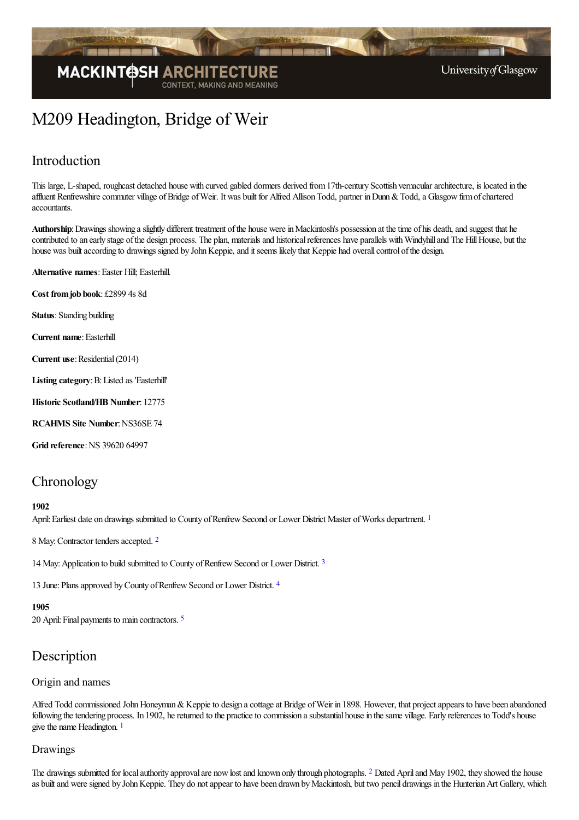

# M209 Headington, Bridge of Weir

### Introduction

This large, L-shaped, roughcast detached house with curved gabled dormers derived from17th-century Scottish vernaculararchitecture, is located in the affluent Renfrewshire commuter village of Bridge of Weir. It was built for Alfred Allison Todd, partner in Dunn & Todd, a Glasgow firm of chartered accountants.

Authorship: Drawings showing a slightly different treatment of the house were in Mackintosh's possession at the time of his death, and suggest that he contributed to an early stage of the design process. The plan, materials and historical references have parallels with Windyhill and The Hill House, but the house was built according to drawings signed by John Keppie, and it seems likely that Keppie had overall control of the design.

**Alternative names: Easter Hill; Easterhill.** 

**Cost fromjob book**: £2899 4s 8d

**Status**: Standing building

**Current name: Easterhill** 

**Current use:** Residential (2014)

Listing category: B: Listed as 'Easterhill'

**Historic Scotland/HB Number**: 12775

**RCAHMS Site Number**:NS36SE 74

**Grid reference: NS 39620 64997** 

### **Chronology**

#### <span id="page-0-0"></span>**1902**

April: Earliest date on drawings submitted to County of Renfrew Second or Lower District Master of Works department.<sup>[1](#page-4-0)</sup>

<span id="page-0-1"></span>8 May: Contractor tenders accepted. [2](#page-4-1)

<span id="page-0-2"></span>14 May: Application to build submitted to County of Renfrew Second or Lower District. [3](#page-4-2)

<span id="page-0-3"></span>13 June: Plans approved by County of Renfrew Second or Lower District. [4](#page-4-3)

#### <span id="page-0-4"></span>**1905**

20 April:Final payments to main contractors. [5](#page-4-4)

### Description

#### Origin and names

<span id="page-0-5"></span>Alfred Todd commissioned John Honeyman & Keppie to design a cottage at Bridge of Weir in 1898. However, that project appears to have been abandoned following the tendering process. In 1902, he returned to the practice to commission a substantial house in the same village. Early references to Todd's house give the name Headington.  $1$ 

#### Drawings

<span id="page-0-6"></span>The drawings submitted for local authority approval are now lost and known only through photographs. <sup>[2](#page-4-6)</sup> Dated April and May 1902, they showed the house as built and were signed by John Keppie. They do not appear to have been drawn by Mackintosh, but two pencil drawings in the Hunterian Art Gallery, which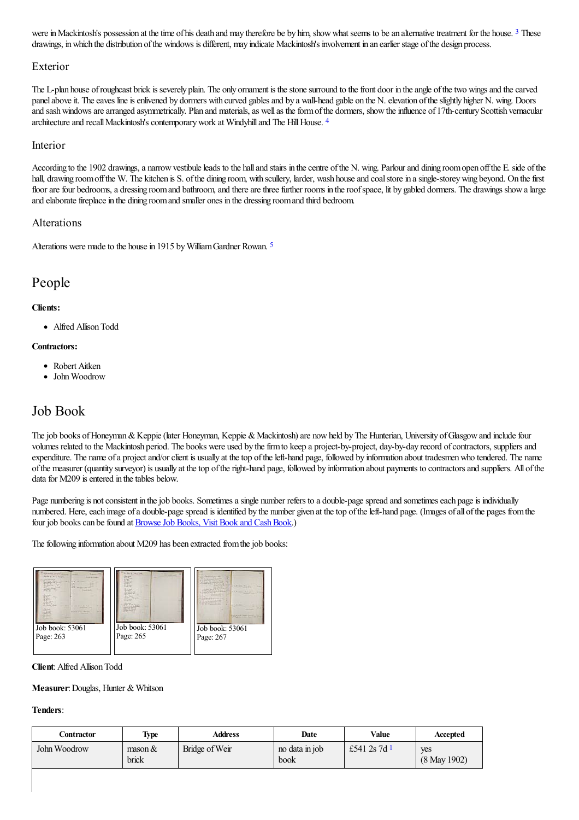<span id="page-1-0"></span>were in Mackintosh's possession at the time of his death and may therefore be by him, show what seems to be an alternative treatment for the house. <sup>[3](#page-4-7)</sup> These drawings, inwhich the distribution ofthe windows is different, may indicate Mackintosh's involvement in an earlier stage ofthe design process.

### Exterior

The L-plan house ofroughcast brick is severely plain. The only ornament is thestonesurround to thefront door in theangle ofthetwo wingsand thecarved panel above it. The eaves line is enlivened by dormers with curved gables and by a wall-head gable on the N. elevation of the slightly higher N. wing. Doors and sash windows are arranged asymmetrically. Plan and materials, as well as the form of the dormers, show the influence of 17th-century Scottish vernacular architecture and recall Mackintosh's contemporary work at Windyhill and The Hill House. [4](#page-4-8)

#### <span id="page-1-1"></span>Interior

According to the 1902 drawings, a narrow vestibule leads to the hall and stairs in the centre of the N. wing. Parlour and dining room open off the E. side of the hall, drawing room off the W. The kitchen is S. of the dining room, with scullery, larder, wash house and coal store in a single-storey wing beyond. On the first floor are four bedrooms, a dressing room and bathroom, and there are three further rooms in the roof space, lit by gabled dormers. The drawings show a large and elaborate fireplace in the dining room and smaller ones in the dressing room and third bedroom.

### Alterations

<span id="page-1-2"></span>Alterations were made to the house in 191[5](#page-4-9) by William Gardner Rowan.<sup>5</sup>

### People

#### **Clients:**

• Alfred Allison Todd

#### **Contractors:**

- Robert Aitken
- John Woodrow

### Job Book

The job books of Honeyman & Keppie (later Honeyman, Keppie & Mackintosh) are now held by The Hunterian, University of Glasgow and include four volumes related to the Mackintosh period. The books were used by the firm to keep a project-by-project, day-by-day record of contractors, suppliers and expenditure. The name of a project and/or client is usually at the top of the left-hand page, followed by information about tradesmen who tendered. The name ofthe measurer (quantity surveyor) is usually at thetop oftheright-hand page, followed by information about payments to contractorsand suppliers. All ofthe data for M209 is entered in the tables below.

Page numbering is not consistent in the job books. Sometimes a single number refers to a double-page spread and sometimes each page is individually numbered. Here, each image of a double-page spread is identified by the number given at the top of the left-hand page. (Images of all of the pages from the four job books can be found at **Browse Job Books**, Visit Book and Cash Book.)

The following information about M209 has been extracted from the job books:



**Client: Alfred Allison Todd** 

#### **Measurer: Douglas, Hunter & Whitson**

### **Tenders**:

<span id="page-1-3"></span>

| Contractor   | <b>Type</b>                 | Address        | Date                   | Value          | Accepted            |
|--------------|-----------------------------|----------------|------------------------|----------------|---------------------|
| John Woodrow | $\text{mason } \&$<br>brick | Bridge of Weir | no data in job<br>book | £541 2s 7d $1$ | yes<br>(8 May 1902) |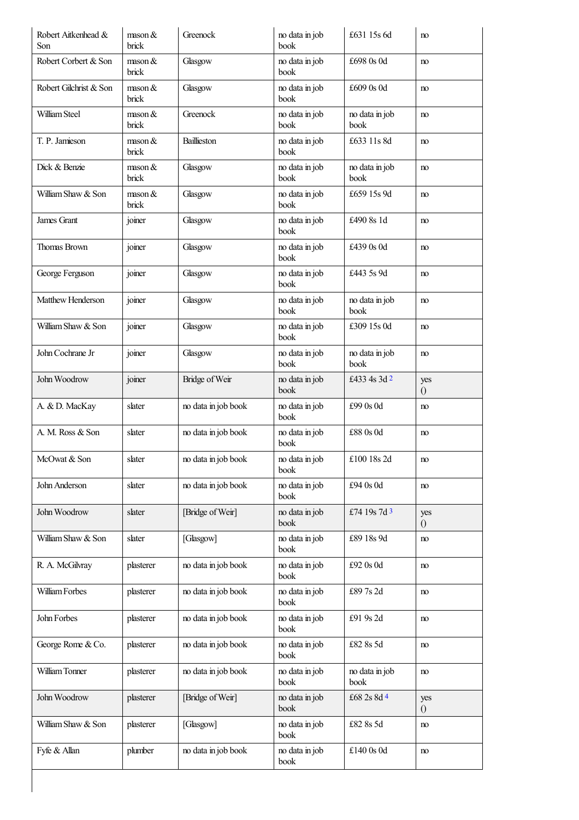<span id="page-2-2"></span><span id="page-2-1"></span><span id="page-2-0"></span>

| Robert Aitkenhead &<br>Son | $\text{mason } \&$<br>brick | Greenock            | no data in job<br>book | £631 15s 6d            | no                    |
|----------------------------|-----------------------------|---------------------|------------------------|------------------------|-----------------------|
| Robert Corbert & Son       | $\text{mason } \&$<br>brick | Glasgow             | no data in job<br>book | £698 0s 0d             | no                    |
| Robert Gilchrist & Son     | $\text{mason } \&$<br>brick | Glasgow             | no data in job<br>book | £609 0s 0d             | no                    |
| William Steel              | $\text{mason } \&$<br>brick | Greenock            | no data in job<br>book | no data in job<br>book | no                    |
| T. P. Jamieson             | $\text{mason } \&$<br>brick | Baillieston         | no data in job<br>book | £633 11s 8d            | no                    |
| Dick & Benzie              | $\text{mason } \&$<br>brick | Glasgow             | no data in job<br>book | no data in job<br>book | no                    |
| William Shaw & Son         | $\text{mason } \&$<br>brick | Glasgow             | no data in job<br>book | £659 15s 9d            | no                    |
| James Grant                | joiner                      | Glasgow             | no data in job<br>book | £490 8s 1d             | no                    |
| Thomas Brown               | joiner                      | Glasgow             | no data in job<br>book | £439 0s 0d             | no                    |
| George Ferguson            | joiner                      | Glasgow             | no data in job<br>book | £443 5s 9d             | no                    |
| Matthew Henderson          | joiner                      | Glasgow             | no data in job<br>book | no data in job<br>book | no                    |
| William Shaw & Son         | joiner                      | Glasgow             | no data in job<br>book | £309 15s 0d            | no                    |
| John Cochrane Jr           | joiner                      | Glasgow             | no data in job<br>book | no data in job<br>book | no                    |
| John Woodrow               | joiner                      | Bridge of Weir      | no data in job<br>book | £433 4s 3d 2           | yes<br>$\overline{0}$ |
| A. & D. MacKay             | slater                      | no data in job book | no data in job<br>book | £99 0s 0d              | no                    |
| A. M. Ross & Son           | slater                      | no data in job book | no data in job<br>book | £88 0s 0d              | no                    |
| McOwat & Son               | slater                      | no data in job book | no data in job<br>book | £100 18s 2d            | no                    |
| John Anderson              | slater                      | no data in job book | no data in job<br>book | £94 0s 0d              | no                    |
| John Woodrow               | slater                      | [Bridge of Weir]    | no data in job<br>book | £74 19s 7d 3           | yes<br>$\overline{0}$ |
| William Shaw & Son         | slater                      | [Glasgow]           | no data in job<br>book | £89 18s 9d             | no                    |
| R. A. McGilvray            | plasterer                   | no data in job book | no data in job<br>book | £92 0s 0d              | no                    |
| William Forbes             | plasterer                   | no data in job book | no data in job<br>book | £897s2d                | no                    |
| John Forbes                | plasterer                   | no data in job book | no data in job<br>book | £91 9s 2d              | no                    |
| George Rome & Co.          | plasterer                   | no data in job book | no data in job<br>book | £82 8s 5d              | no                    |
| William Tonner             | plasterer                   | no data in job book | no data in job<br>book | no data in job<br>book | no                    |
| John Woodrow               | plasterer                   | [Bridge of Weir]    | no data in job<br>book | £68 2s 8d 4            | yes<br>$\theta$       |
| William Shaw & Son         | plasterer                   | [Glasgow]           | no data in job<br>book | £82 8s 5d              | no                    |
| Fyfe & Allan               | plumber                     | no data in job book | no data in job<br>book | £140 0s 0d             | no                    |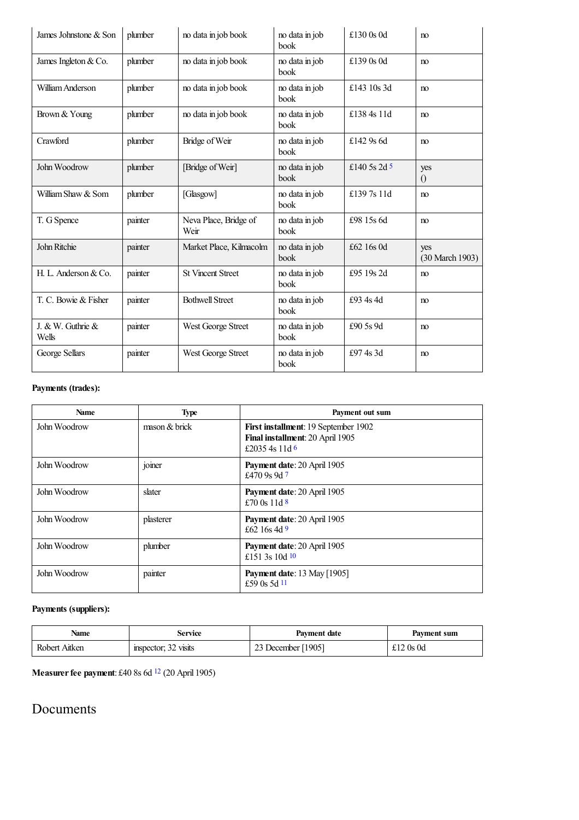<span id="page-3-0"></span>

| James Johnstone & Son      | plumber | no data in job book           | no data in job<br>book        | £130 0s 0d   | no                     |
|----------------------------|---------|-------------------------------|-------------------------------|--------------|------------------------|
| James Ingleton & Co.       | plumber | no data in job book           | no data in job<br>book        | £139 0s 0d   | no                     |
| William Anderson           | plumber | no data in job book           | no data in job<br>book        | £143 10s 3d  | no                     |
| Brown & Young              | plumber | no data in job book           | no data in job<br>book        | £138 4s 11d  | no                     |
| Crawford                   | plumber | Bridge of Weir                | no data in job<br>book        | £142 $9s$ 6d | no                     |
| John Woodrow               | plumber | [Bridge of Weir]              | no data in job<br>book        | £140.5s 2d 5 | yes<br>$\Omega$        |
| William Shaw & Som         | plumber | [Glasgow]                     | no data in job<br>book        | £1397s 11d   | no                     |
| T. G Spence                | painter | Neva Place, Bridge of<br>Weir | no data in job<br>book        | £98 15s 6d   | no                     |
| John Ritchie               | painter | Market Place, Kilmacolm       | no data in job<br>book        | £62 16s 0d   | yes<br>(30 March 1903) |
| H. L. Anderson & Co.       | painter | <b>St Vincent Street</b>      | no data in job<br>book        | £95 19s 2d   | no                     |
| T. C. Bowie & Fisher       | painter | <b>Bothwell Street</b>        | no data in job<br>book        | £93 4s 4d    | no                     |
| J. & W. Guthrie &<br>Wells | painter | West George Street            | no data in job<br><b>book</b> | £90 5s 9d    | no                     |
| George Sellars             | painter | West George Street            | no data in job<br>book        | £974s3d      | no                     |

### **Payments (trades):**

<span id="page-3-3"></span><span id="page-3-2"></span><span id="page-3-1"></span>

| <b>Name</b>  | <b>Type</b>                 | Payment out sum                                                                            |
|--------------|-----------------------------|--------------------------------------------------------------------------------------------|
| John Woodrow | $\frac{1}{2}$ mason & brick | First installment: 19 September 1902<br>Final installment: 20 April 1905<br>£2035 4s 11d 6 |
| John Woodrow | joiner                      | Payment date: 20 April 1905<br>£470 9s 9d $7$                                              |
| John Woodrow | slater                      | Payment date: 20 April 1905<br>£70 0s 11d $8$                                              |
| John Woodrow | plasterer                   | Payment date: 20 April 1905<br>£62 16s 4d 9                                                |
| John Woodrow | plumber                     | Payment date: 20 April 1905<br>£151 3s 10d $10$                                            |
| John Woodrow | painter                     | <b>Payment date:</b> 13 May [1905]<br>£59 0s 5d 11                                         |

### <span id="page-3-6"></span><span id="page-3-5"></span><span id="page-3-4"></span>**Payments (suppliers):**

| Name          | Service              | Payment date       | Payment sum |
|---------------|----------------------|--------------------|-------------|
| Robert Aitken | inspector; 32 visits | 23 December [1905] | £12 $0s$ 0d |

<span id="page-3-7"></span>**Measurerfee payment**: £40 8s 6d [12](#page-5-10) (20 April 1905)

### Documents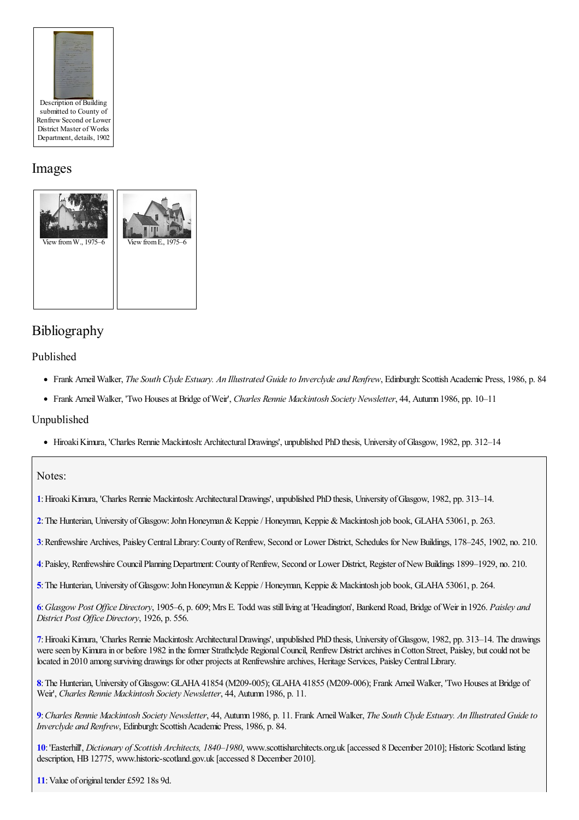

# Images



# Bibliography

### Published

- Frank ArneilWalker, *The South Clyde Estuary. An Illustrated Guideto Inverclyde and Renfrew*, Edinburgh:ScottishAcademic Press, 1986, p. 84
- Frank ArneilWalker, 'Two Housesat Bridge ofWeir', *Charles Rennie Mackintosh Society Newsletter*, 44, Autumn 1986, pp. 10–11

### Unpublished

• Hiroaki Kimura, 'Charles Rennie Mackintosh: Architectural Drawings', unpublished PhD thesis, University of Glasgow, 1982, pp. 312–14

### Notes:

<span id="page-4-0"></span>**[1](#page-0-0)**:HiroakiKimura, 'Charles Rennie Mackintosh:ArchitecturalDrawings', unpublished PhDthesis, University ofGlasgow, 1982, pp. 313–14.

<span id="page-4-1"></span>[2](#page-0-1): The Hunterian, University of Glasgow: John Honeyman & Keppie / Honeyman, Keppie & Mackintosh job book, GLAHA 53061, p. 263.

<span id="page-4-2"></span>**[3](#page-0-2)**:Renfrewshire Archives, PaisleyCentralLibrary:County ofRenfrew, Second or Lower District, Schedules for NewBuildings, 178–245, 1902, no. 210.

<span id="page-4-3"></span>**[4](#page-0-3)**:Paisley, Renfrewshire CouncilPlanningDepartment:County ofRenfrew, Second or Lower District, Register ofNewBuildings 1899–1929, no. 210.

<span id="page-4-4"></span>**[5](#page-0-4)**: The Hunterian, University of Glasgow: John Honeyman & Keppie / Honeyman, Keppie & Mackintosh job book, GLAHA 53061, p. 264.

<span id="page-4-5"></span>**[6](#page-0-5)**:*Glasgow Post Of ice Directory*, 1905–6, p. 609; Mrs E. Todd was stillliving at 'Headington', Bankend Road, Bridge ofWeir in 1926. *Paisley and District Post Of ice Directory*, 1926, p. 556.

<span id="page-4-6"></span>**[7](#page-0-6)**:HiroakiKimura, 'Charles Rennie Mackintosh:ArchitecturalDrawings', unpublished PhDthesis, University ofGlasgow, 1982, pp. 313–14. The drawings were seen by Kimura in or before 1982 in the former Strathclyde Regional Council, Renfrew District archives in Cotton Street, Paisley, but could not be located in 2010 among surviving drawings for other projects at Renfrewshire archives, Heritage Services, Paisley Central Library.

<span id="page-4-7"></span>[8](#page-1-0): The Hunterian, University of Glasgow: GLAHA 41854 (M209-005); GLAHA 41855 (M209-006); Frank Arneil Walker, 'Two Houses at Bridge of Weir', *Charles Rennie Mackintosh Society Newsletter*, 44, Autumn 1986, p. 11.

<span id="page-4-8"></span>[9](#page-1-1): Charles Rennie Mackintosh Society Newsletter, 44, Auturm 1986, p. 11. Frank Arneil Walker, The South Clyde Estuary. An Illustrated Guide to *Inverclyde and Renfrew*, Edinburgh: Scottish Academic Press, 1986, p. 84.

<span id="page-4-9"></span>**[10](#page-1-2)**:'Easterhill', *Dictionary of Scottish Architects, 1840–1980*, www.scottisharchitects.org.uk [accessed 8 December 2010]; Historic Scotland listing description, HB12775, www.historic-scotland.gov.uk [accessed 8 December 2010].

<span id="page-4-10"></span>[11](#page-1-3): Value of original tender £592 18s 9d.